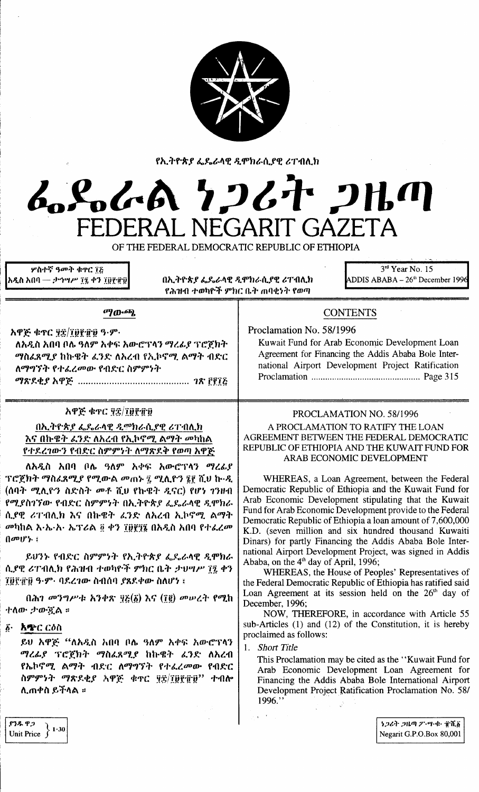

የኢትዮጵያ ፌዴራላዊ ዲሞክራሲያዊ ሪፐብሊክ

L.S.L.A 7267 2H.M

ዎስተኛ ዓመት ቁዋር ፲፩ <u> አዲስ አበባ — ታኅሣሥ ፲፯ ቀን ፲፱፻፹፱</u>

በኢትዮጵያ ፌዴራላዊ ዲሞክራሲያዊ ሪፐብሊክ የሕዝብ ተወካዮች ምክር ቤት ጠባቂነት የወጣ

FEDERAL NEGARIT GAZETA

OF THE FEDERAL DEMOCRATIC REPUBLIC OF ETHIOPIA

 $3<sup>rd</sup>$  Year No. 15  $ADDIS ABABA - 26<sup>th</sup> December 1996$ 

### $\sigma$ *n*- $\sigma$ <sub>*n*</sub>

አዋጅ ቁጥር ፶፰/፲፱፻፹፱ ዓ·ም· ለአዲስ አበባ ቦሌ ዓለም አቀፍ አውሮፕላን ማረፊያ ፕሮጀክት ማስፌጸሚያ ከኩዌት ፈንድ ለአረብ የኢኮኖሚ ልማት ብድር ለማግኘት የተፈረመው የብድር ስምምነት 

### አዋጅ ቁተር ፶፰/፲፱፻፹፱

## በኢትዮጵያ ፌዴራላዊ ዲሞክራሲያዊ ሪፐብሊክ እና በኩዌት ፈንድ ለአረብ የኢኮኖሚ ልማት መካከል የተደረገውን የብድር ስምምነት ለማጽደቅ የወጣ አዋጅ

ለአዲስ አበባ ቦሌ ዓለም አቀፍ አውሮፕላን ማረፊያ ፕሮጀክት ማስፈጸሚያ የሚውል መጠኑ ፤ ሚሊዮን ፤፻ ሺህ ኩ‧ዲ (ሰባት ሚሊዮን ስድስት መቶ ሺሀ የኩዌት ዲናር) የሆነ ገንዘብ የሚያስገኘው የብድር ስምምነት በኢትዮጵያ ፌዶራላዊ ዲሞክራ ሲያዊ ሪፐብሊክ እና በኩዌት ፈንድ ለአረብ ኢኮኖሚ ልማት መካከል እ·ኤ·አ· ኤፕሪል ፬ ቀን ፲፱፻፺፮ በአዲስ አበባ የተፈረመ  $\{a^n\}$ ;

ይሀንኑ የብድር ስምምነት የኢትዮጵያ ፌዴራላዊ ዲሞክራ ሲያዊ ሪፐብሊክ የሕዝብ ተወካዮች ምክር ቤት ታህግሥ ፐ፤ ቀን ፲፱፻፹፱ ዓ·ም· ባደረገው ስብሰባ ያጸደቀው ስለሆነ ፤

በሕገ መንግሥቱ አንቀጽ ፶፭ $(\tilde{g})$  እና (፲፪) መሠረት የሚከ ተለው ታውጇል ፡

፩· አጭር ርዕስ

ይህ አዋጅ "ለአዲስ አበባ ቦሌ ዓለም አቀፍ አውሮፕላን ማረፊያ ፕሮጀክት ማስፈጸሚያ ከኩዌት ፈንድ ለአረብ የኤኮኖሚ ልማት ብድር ለማግኘት የተፈረመው የብድር ስምምነት ማጽደቂያ አዋጅ ቁጥር ፶፰/፲፱፻፹፱'' ተብሎ ሊጠቀስ ይችላል ፡፡

# **CONTENTS**

Proclamation No. 58/1996 Kuwait Fund for Arab Economic Development Loan Agreement for Financing the Addis Ababa Bole International Airport Development Project Ratification 

### PROCLAMATION NO. 58/1996

#### A PROCLAMATION TO RATIFY THE LOAN AGREEMENT BETWEEN THE FEDERAL DEMOCRATIC REPUBLIC OF ETHIOPIA AND THE KUWAIT FUND FOR ARAB ECONOMIC DEVELOPMENT

WHEREAS, a Loan Agreement, between the Federal Democratic Republic of Ethiopia and the Kuwait Fund for Arab Economic Development stipulating that the Kuwait Fund for Arab Economic Development provide to the Federal Democratic Republic of Ethiopia a loan amount of 7,600,000 K.D. (seven million and six hundred thousand Kuwaiti Dinars) for partly Financing the Addis Ababa Bole International Airport Development Project, was signed in Addis Ababa, on the 4<sup>th</sup> day of April, 1996;

WHEREAS, the House of Peoples' Representatives of the Federal Democratic Republic of Ethiopia has ratified said Loan Agreement at its session held on the 26<sup>th</sup> day of December, 1996;

NOW, THEREFORE, in accordance with Article 55 sub-Articles  $(1)$  and  $(12)$  of the Constitution, it is hereby proclaimed as follows:

1. Short Title

This Proclamation may be cited as the "Kuwait Fund for Arab Economic Development Loan Agreement for Financing the Addis Ababa Bole International Airport Development Project Ratification Proclamation No. 58/ 1996."

የንዱ ዋጋ Unit Price  $\left.\begin{array}{c} 2 \end{array}\right\}$  1.30